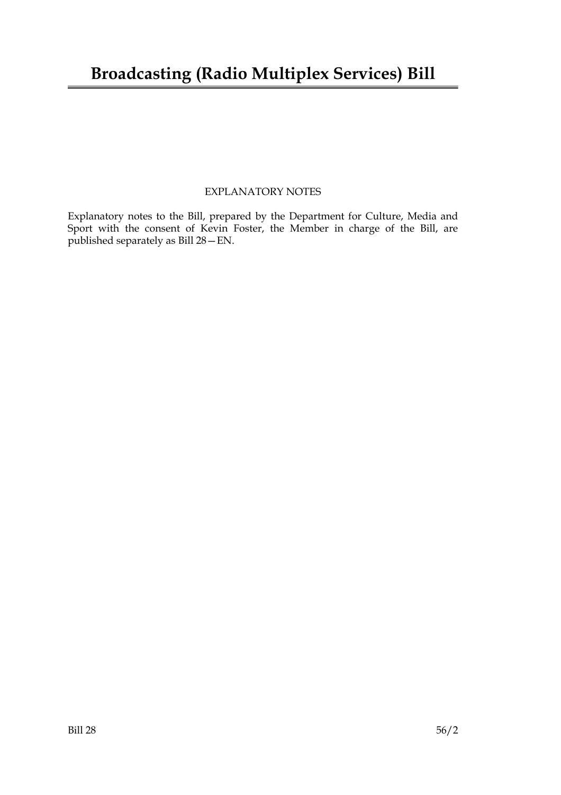## **Broadcasting (Radio Multiplex Services) Bill**

#### EXPLANATORY NOTES

Explanatory notes to the Bill, prepared by the Department for Culture, Media and Sport with the consent of Kevin Foster, the Member in charge of the Bill, are published separately as Bill 28—EN.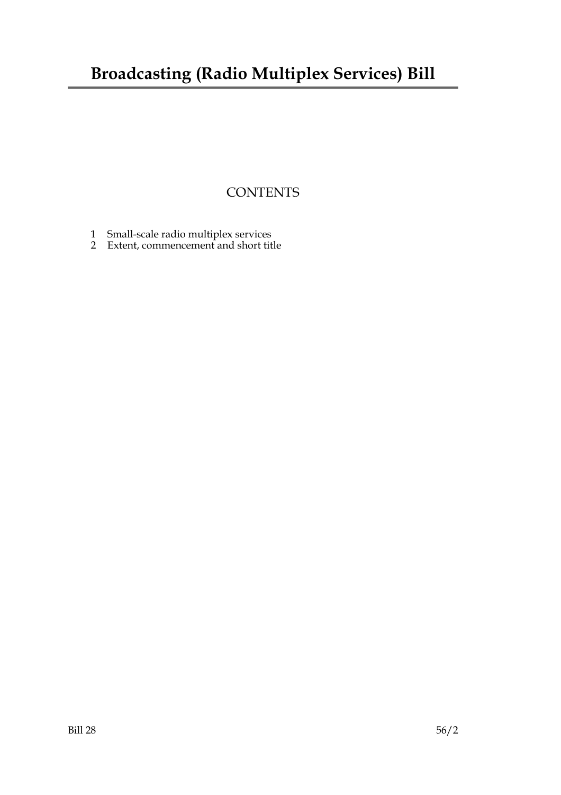# **Broadcasting (Radio Multiplex Services) Bill**

### **CONTENTS**

- 1 Small-scale radio multiplex services
- 2 Extent, commencement and short title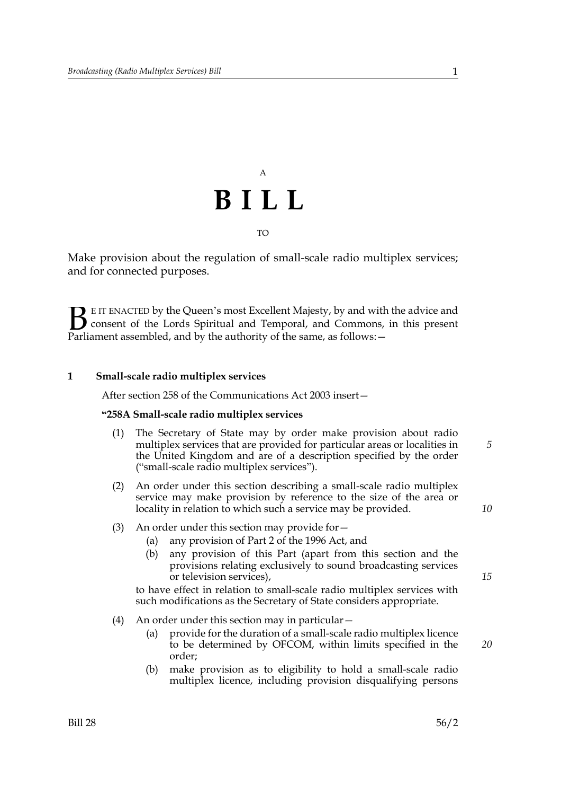

Make provision about the regulation of small-scale radio multiplex services; and for connected purposes.

E IT ENACTED by the Queen's most Excellent Majesty, by and with the advice and consent of the Lords Spiritual and Temporal, and Commons, in this present **B** E IT ENACTED by the Queen's most Excellent Majesty, by and with consent of the Lords Spiritual and Temporal, and Commons, Parliament assembled, and by the authority of the same, as follows:  $-$ 

#### **1 Small-scale radio multiplex services**

After section 258 of the Communications Act 2003 insert—

#### **"258A Small-scale radio multiplex services**

- (1) The Secretary of State may by order make provision about radio multiplex services that are provided for particular areas or localities in the United Kingdom and are of a description specified by the order ("small-scale radio multiplex services").
- (2) An order under this section describing a small-scale radio multiplex service may make provision by reference to the size of the area or locality in relation to which such a service may be provided.
- (3) An order under this section may provide for—
	- (a) any provision of Part 2 of the 1996 Act, and
	- (b) any provision of this Part (apart from this section and the provisions relating exclusively to sound broadcasting services or television services),

to have effect in relation to small-scale radio multiplex services with such modifications as the Secretary of State considers appropriate.

- (4) An order under this section may in particular—
	- (a) provide for the duration of a small-scale radio multiplex licence to be determined by OFCOM, within limits specified in the order;
	- (b) make provision as to eligibility to hold a small-scale radio multiplex licence, including provision disqualifying persons

*5*

*10*

*15*

*20*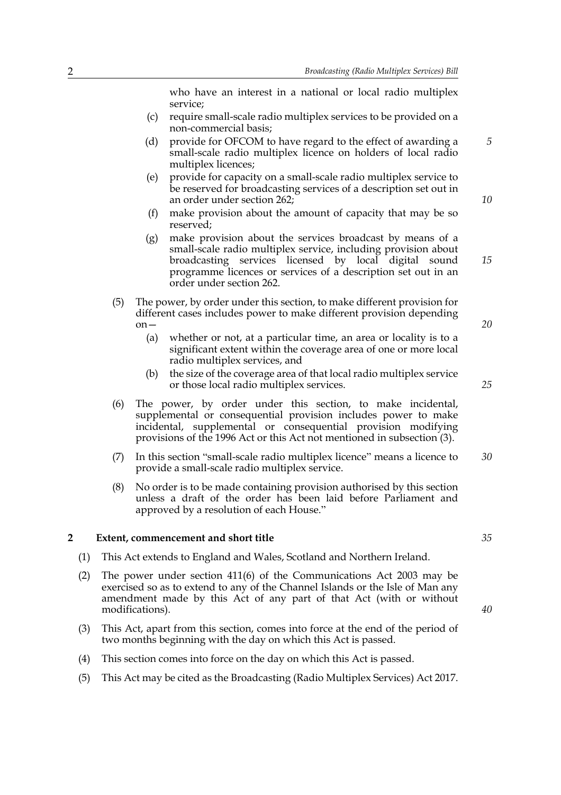who have an interest in a national or local radio multiplex service;

- (c) require small-scale radio multiplex services to be provided on a non-commercial basis;
- (d) provide for OFCOM to have regard to the effect of awarding a small-scale radio multiplex licence on holders of local radio multiplex licences;
- (e) provide for capacity on a small-scale radio multiplex service to be reserved for broadcasting services of a description set out in an order under section 262;
- (f) make provision about the amount of capacity that may be so reserved;
- (g) make provision about the services broadcast by means of a small-scale radio multiplex service, including provision about broadcasting services licensed by local digital sound programme licences or services of a description set out in an order under section 262.
- (5) The power, by order under this section, to make different provision for different cases includes power to make different provision depending on—
	- (a) whether or not, at a particular time, an area or locality is to a significant extent within the coverage area of one or more local radio multiplex services, and
	- (b) the size of the coverage area of that local radio multiplex service or those local radio multiplex services.
- (6) The power, by order under this section, to make incidental, supplemental or consequential provision includes power to make incidental, supplemental or consequential provision modifying provisions of the 1996 Act or this Act not mentioned in subsection (3).
- (7) In this section "small-scale radio multiplex licence" means a licence to provide a small-scale radio multiplex service. *30*
- (8) No order is to be made containing provision authorised by this section unless a draft of the order has been laid before Parliament and approved by a resolution of each House."

#### **2 Extent, commencement and short title**

- (1) This Act extends to England and Wales, Scotland and Northern Ireland.
- (2) The power under section 411(6) of the Communications Act 2003 may be exercised so as to extend to any of the Channel Islands or the Isle of Man any amendment made by this Act of any part of that Act (with or without modifications).
- (3) This Act, apart from this section, comes into force at the end of the period of two months beginning with the day on which this Act is passed.
- (4) This section comes into force on the day on which this Act is passed.
- (5) This Act may be cited as the Broadcasting (Radio Multiplex Services) Act 2017.

*35*

*10*

*15*

*20*

*25*

*5*